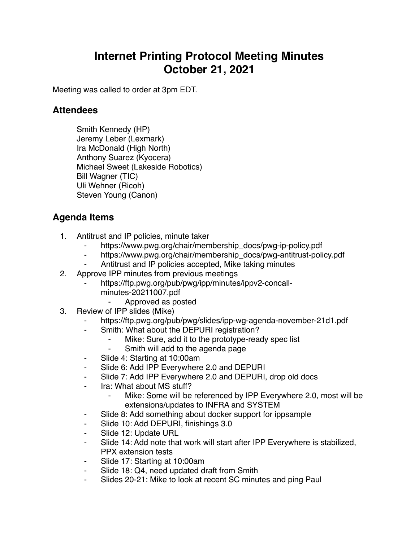## **Internet Printing Protocol Meeting Minutes October 21, 2021**

Meeting was called to order at 3pm EDT.

## **Attendees**

Smith Kennedy (HP) Jeremy Leber (Lexmark) Ira McDonald (High North) Anthony Suarez (Kyocera) Michael Sweet (Lakeside Robotics) Bill Wagner (TIC) Uli Wehner (Ricoh) Steven Young (Canon)

## **Agenda Items**

- 1. Antitrust and IP policies, minute taker
	- https://www.pwg.org/chair/membership\_docs/pwg-ip-policy.pdf
	- ⁃ https://www.pwg.org/chair/membership\_docs/pwg-antitrust-policy.pdf
	- Antitrust and IP policies accepted, Mike taking minutes
- 2. Approve IPP minutes from previous meetings
	- https://ftp.pwg.org/pub/pwg/ipp/minutes/ippv2-concall
		- minutes-20211007.pdf
			- ⁃ Approved as posted
- 3. Review of IPP slides (Mike)
	- https://ftp.pwg.org/pub/pwg/slides/ipp-wg-agenda-november-21d1.pdf
	- Smith: What about the DEPURI registration?
		- Mike: Sure, add it to the prototype-ready spec list
		- ⁃ Smith will add to the agenda page
	- ⁃ Slide 4: Starting at 10:00am
	- Slide 6: Add IPP Everywhere 2.0 and DEPURI
	- Slide 7: Add IPP Everywhere 2.0 and DEPURI, drop old docs
	- Ira: What about MS stuff?
		- Mike: Some will be referenced by IPP Everywhere 2.0, most will be extensions/updates to INFRA and SYSTEM
	- Slide 8: Add something about docker support for ippsample
	- ⁃ Slide 10: Add DEPURI, finishings 3.0
	- Slide 12: Update URL
	- Slide 14: Add note that work will start after IPP Everywhere is stabilized, PPX extension tests
	- Slide 17: Starting at 10:00am
	- Slide 18: Q4, need updated draft from Smith
	- Slides 20-21: Mike to look at recent SC minutes and ping Paul